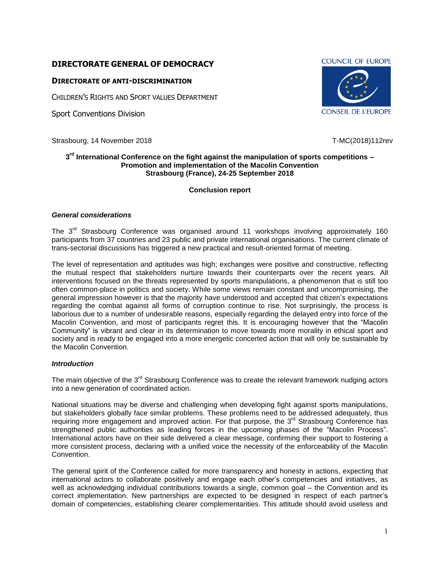# **DIRECTORATE GENERAL OF DEMOCRACY**

## **DIRECTORATE OF ANTI-DISCRIMINATION**

CHILDREN'S RIGHTS AND SPORT VALUES DEPARTMENT

Sport Conventions Division

Strasbourg, 14 November 2018 **T-MC(2018)112rev** T-MC(2018)112rev

#### **3 rd International Conference on the fight against the manipulation of sports competitions – Promotion and implementation of the Macolin Convention Strasbourg (France), 24-25 September 2018**

#### **Conclusion report**

#### *General considerations*

The  $3<sup>rd</sup>$  Strasbourg Conference was organised around 11 workshops involving approximately 160 participants from 37 countries and 23 public and private international organisations. The current climate of trans-sectorial discussions has triggered a new practical and result-oriented format of meeting.

The level of representation and aptitudes was high; exchanges were positive and constructive, reflecting the mutual respect that stakeholders nurture towards their counterparts over the recent years. All interventions focused on the threats represented by sports manipulations, a phenomenon that is still too often common-place in politics and society. While some views remain constant and uncompromising, the general impression however is that the majority have understood and accepted that citizen's expectations regarding the combat against all forms of corruption continue to rise. Not surprisingly, the process is laborious due to a number of undesirable reasons, especially regarding the delayed entry into force of the Macolin Convention, and most of participants regret this. It is encouraging however that the "Macolin Community" is vibrant and clear in its determination to move towards more morality in ethical sport and society and is ready to be engaged into a more energetic concerted action that will only be sustainable by the Macolin Convention.

#### *Introduction*

The main objective of the 3<sup>rd</sup> Strasbourg Conference was to create the relevant framework nudging actors into a new generation of coordinated action.

National situations may be diverse and challenging when developing fight against sports manipulations, but stakeholders globally face similar problems. These problems need to be addressed adequately, thus requiring more engagement and improved action. For that purpose, the 3<sup>rd</sup> Strasbourg Conference has strengthened public authorities as leading forces in the upcoming phases of the "Macolin Process". International actors have on their side delivered a clear message, confirming their support to fostering a more consistent process, declaring with a unified voice the necessity of the enforceability of the Macolin Convention.

The general spirit of the Conference called for more transparency and honesty in actions, expecting that international actors to collaborate positively and engage each other's competencies and initiatives, as well as acknowledging individual contributions towards a single, common goal – the Convention and its correct implementation. New partnerships are expected to be designed in respect of each partner's domain of competencies, establishing clearer complementarities. This attitude should avoid useless and

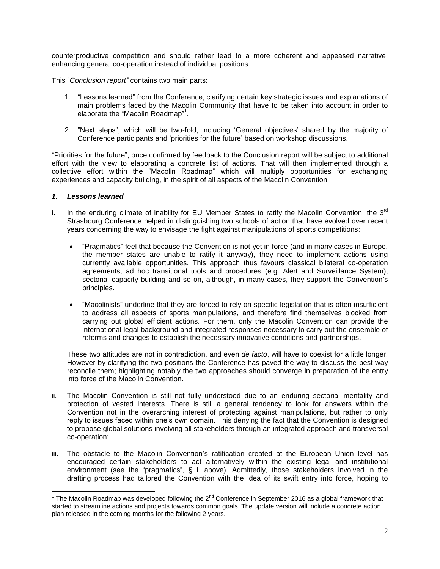counterproductive competition and should rather lead to a more coherent and appeased narrative, enhancing general co-operation instead of individual positions.

This "*Conclusion report"* contains two main parts:

- 1. "Lessons learned" from the Conference, clarifying certain key strategic issues and explanations of main problems faced by the Macolin Community that have to be taken into account in order to elaborate the "Macolin Roadmap"<sup>1</sup>.
- 2. "Next steps", which will be two-fold, including 'General objectives' shared by the majority of Conference participants and 'priorities for the future' based on workshop discussions.

"Priorities for the future", once confirmed by feedback to the Conclusion report will be subject to additional effort with the view to elaborating a concrete list of actions. That will then implemented through a collective effort within the "Macolin Roadmap" which will multiply opportunities for exchanging experiences and capacity building, in the spirit of all aspects of the Macolin Convention

#### *1. Lessons learned*

- i. In the enduring climate of inability for EU Member States to ratify the Macolin Convention, the  $3^{rd}$ Strasbourg Conference helped in distinguishing two schools of action that have evolved over recent years concerning the way to envisage the fight against manipulations of sports competitions:
	- "Pragmatics" feel that because the Convention is not yet in force (and in many cases in Europe, the member states are unable to ratify it anyway), they need to implement actions using currently available opportunities. This approach thus favours classical bilateral co-operation agreements, ad hoc transitional tools and procedures (e.g. Alert and Surveillance System), sectorial capacity building and so on, although, in many cases, they support the Convention's principles.
	- "Macolinists" underline that they are forced to rely on specific legislation that is often insufficient to address all aspects of sports manipulations, and therefore find themselves blocked from carrying out global efficient actions. For them, only the Macolin Convention can provide the international legal background and integrated responses necessary to carry out the ensemble of reforms and changes to establish the necessary innovative conditions and partnerships.

These two attitudes are not in contradiction, and even *de facto*, will have to coexist for a little longer. However by clarifying the two positions the Conference has paved the way to discuss the best way reconcile them; highlighting notably the two approaches should converge in preparation of the entry into force of the Macolin Convention.

- ii. The Macolin Convention is still not fully understood due to an enduring sectorial mentality and protection of vested interests. There is still a general tendency to look for answers within the Convention not in the overarching interest of protecting against manipulations, but rather to only reply to issues faced within one's own domain. This denying the fact that the Convention is designed to propose global solutions involving all stakeholders through an integrated approach and transversal co-operation;
- iii. The obstacle to the Macolin Convention's ratification created at the European Union level has encouraged certain stakeholders to act alternatively within the existing legal and institutional environment (see the "pragmatics", § i. above). Admittedly, those stakeholders involved in the drafting process had tailored the Convention with the idea of its swift entry into force, hoping to

<sup>1&</sup>lt;br>The Macolin Roadmap was developed following the 2<sup>nd</sup> Conference in September 2016 as a global framework that started to streamline actions and projects towards common goals. The update version will include a concrete action plan released in the coming months for the following 2 years.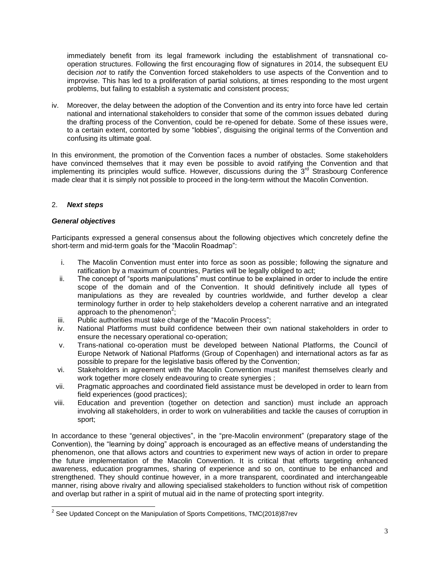immediately benefit from its legal framework including the establishment of transnational cooperation structures. Following the first encouraging flow of signatures in 2014, the subsequent EU decision *not* to ratify the Convention forced stakeholders to use aspects of the Convention and to improvise. This has led to a proliferation of partial solutions, at times responding to the most urgent problems, but failing to establish a systematic and consistent process;

iv. Moreover, the delay between the adoption of the Convention and its entry into force have led certain national and international stakeholders to consider that some of the common issues debated during the drafting process of the Convention, could be re-opened for debate. Some of these issues were, to a certain extent, contorted by some "lobbies", disguising the original terms of the Convention and confusing its ultimate goal.

In this environment, the promotion of the Convention faces a number of obstacles. Some stakeholders have convinced themselves that it may even be possible to avoid ratifying the Convention and that implementing its principles would suffice. However, discussions during the  $3<sup>rd</sup>$  Strasbourg Conference made clear that it is simply not possible to proceed in the long-term without the Macolin Convention.

## 2. *Next steps*

## *General objectives*

Participants expressed a general consensus about the following objectives which concretely define the short-term and mid-term goals for the "Macolin Roadmap":

- i. The Macolin Convention must enter into force as soon as possible; following the signature and ratification by a maximum of countries, Parties will be legally obliged to act;
- ii. The concept of "sports manipulations" must continue to be explained in order to include the entire scope of the domain and of the Convention. It should definitively include all types of manipulations as they are revealed by countries worldwide, and further develop a clear terminology further in order to help stakeholders develop a coherent narrative and an integrated approach to the phenomenon<sup>2</sup>;
- iii. Public authorities must take charge of the "Macolin Process";
- iv. National Platforms must build confidence between their own national stakeholders in order to ensure the necessary operational co-operation;
- v. Trans-national co-operation must be developed between National Platforms, the Council of Europe Network of National Platforms (Group of Copenhagen) and international actors as far as possible to prepare for the legislative basis offered by the Convention;
- vi. Stakeholders in agreement with the Macolin Convention must manifest themselves clearly and work together more closely endeavouring to create synergies ;
- vii. Pragmatic approaches and coordinated field assistance must be developed in order to learn from field experiences (good practices);
- viii. Education and prevention (together on detection and sanction) must include an approach involving all stakeholders, in order to work on vulnerabilities and tackle the causes of corruption in sport;

In accordance to these "general objectives", in the "pre-Macolin environment" (preparatory stage of the Convention), the "learning by doing" approach is encouraged as an effective means of understanding the phenomenon, one that allows actors and countries to experiment new ways of action in order to prepare the future implementation of the Macolin Convention. It is critical that efforts targeting enhanced awareness, education programmes, sharing of experience and so on, continue to be enhanced and strengthened. They should continue however, in a more transparent, coordinated and interchangeable manner, rising above rivalry and allowing specialised stakeholders to function without risk of competition and overlap but rather in a spirit of mutual aid in the name of protecting sport integrity.

 2 See Updated Concept on the Manipulation of Sports Competitions, TMC(2018)87rev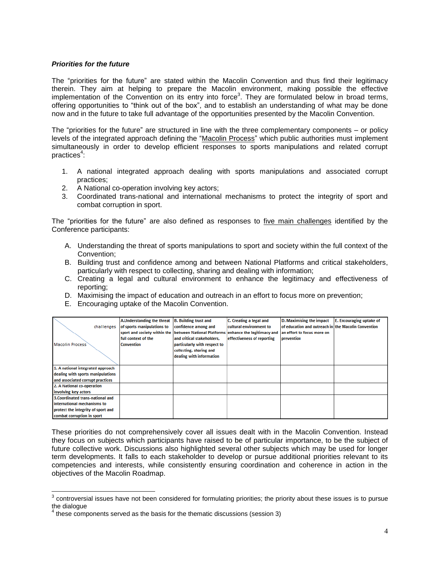#### *Priorities for the future*

The "priorities for the future" are stated within the Macolin Convention and thus find their legitimacy therein. They aim at helping to prepare the Macolin environment, making possible the effective implementation of the Convention on its entry into force<sup>3</sup>. They are formulated below in broad terms, offering opportunities to "think out of the box", and to establish an understanding of what may be done now and in the future to take full advantage of the opportunities presented by the Macolin Convention.

The "priorities for the future" are structured in line with the three complementary components – or policy levels of the integrated approach defining the "Macolin Process" which public authorities must implement simultaneously in order to develop efficient responses to sports manipulations and related corrupt practices<sup>4</sup>:

- 1. A national integrated approach dealing with sports manipulations and associated corrupt practices;
- 2. A National co-operation involving key actors;
- 3. Coordinated trans-national and international mechanisms to protect the integrity of sport and combat corruption in sport.

The "priorities for the future" are also defined as responses to five main challenges identified by the Conference participants:

- A. Understanding the threat of sports manipulations to sport and society within the full context of the Convention;
- B. Building trust and confidence among and between National Platforms and critical stakeholders, particularly with respect to collecting, sharing and dealing with information;
- C. Creating a legal and cultural environment to enhance the legitimacy and effectiveness of reporting;
- D. Maximising the impact of education and outreach in an effort to focus more on prevention;
- E. Encouraging uptake of the Macolin Convention.

|                                    | A.Understanding the threat B. Building trust and         |                              | C. Creating a legal and    | D. Maximising the impact                            | E. Encouraging uptake of |
|------------------------------------|----------------------------------------------------------|------------------------------|----------------------------|-----------------------------------------------------|--------------------------|
| challenges                         | of sports manipulations to                               | confidence among and         | cultural environment to    | of education and outreach in the Macolin Convention |                          |
|                                    | sport and society within the Ibetween National Platforms |                              | enhance the legitimacy and | an effort to focus more on                          |                          |
|                                    | full context of the                                      | and critical stakeholders.   | effectiveness of reporting | prevention                                          |                          |
| Macolin Process                    | <b>Convention</b>                                        | particularly with respect to |                            |                                                     |                          |
|                                    |                                                          | collecting, sharing and      |                            |                                                     |                          |
|                                    |                                                          | dealing with information     |                            |                                                     |                          |
|                                    |                                                          |                              |                            |                                                     |                          |
| 1. A national integrated approach  |                                                          |                              |                            |                                                     |                          |
| dealing with sports manipulations  |                                                          |                              |                            |                                                     |                          |
| and associated corrupt practices   |                                                          |                              |                            |                                                     |                          |
| 2. A National co-operation         |                                                          |                              |                            |                                                     |                          |
| involving key actors               |                                                          |                              |                            |                                                     |                          |
| 3. Coordinated trans-national and  |                                                          |                              |                            |                                                     |                          |
| international mechanisms to        |                                                          |                              |                            |                                                     |                          |
| protect the integrity of sport and |                                                          |                              |                            |                                                     |                          |
| combat corruption in sport         |                                                          |                              |                            |                                                     |                          |

These priorities do not comprehensively cover all issues dealt with in the Macolin Convention. Instead they focus on subjects which participants have raised to be of particular importance, to be the subject of future collective work. Discussions also highlighted several other subjects which may be used for longer term developments. It falls to each stakeholder to develop or pursue additional priorities relevant to its competencies and interests, while consistently ensuring coordination and coherence in action in the objectives of the Macolin Roadmap.

 $\frac{3}{3}$  controversial issues have not been considered for formulating priorities; the priority about these issues is to pursue the dialogue<br><sup>4</sup> these semi

these components served as the basis for the thematic discussions (session 3)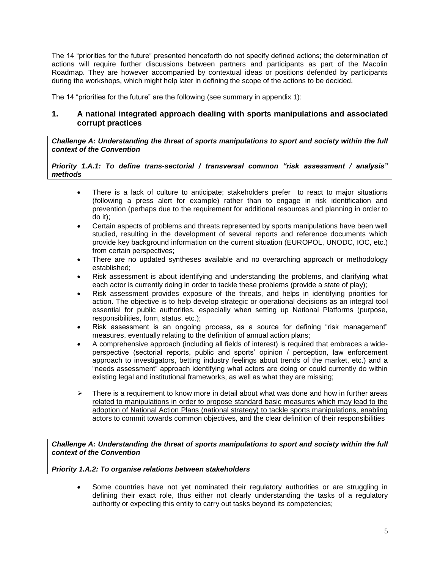The 14 "priorities for the future" presented henceforth do not specify defined actions; the determination of actions will require further discussions between partners and participants as part of the Macolin Roadmap. They are however accompanied by contextual ideas or positions defended by participants during the workshops, which might help later in defining the scope of the actions to be decided.

The 14 "priorities for the future" are the following (see summary in appendix 1):

# **1. A national integrated approach dealing with sports manipulations and associated corrupt practices**

*Challenge A: Understanding the threat of sports manipulations to sport and society within the full context of the Convention*

*Priority 1.A.1: To define trans-sectorial / transversal common "risk assessment / analysis" methods*

- There is a lack of culture to anticipate; stakeholders prefer to react to major situations (following a press alert for example) rather than to engage in risk identification and prevention (perhaps due to the requirement for additional resources and planning in order to do it);
- Certain aspects of problems and threats represented by sports manipulations have been well studied, resulting in the development of several reports and reference documents which provide key background information on the current situation (EUROPOL, UNODC, IOC, etc.) from certain perspectives;
- There are no updated syntheses available and no overarching approach or methodology established;
- Risk assessment is about identifying and understanding the problems, and clarifying what each actor is currently doing in order to tackle these problems (provide a state of play);
- Risk assessment provides exposure of the threats, and helps in identifying priorities for action. The objective is to help develop strategic or operational decisions as an integral tool essential for public authorities, especially when setting up National Platforms (purpose, responsibilities, form, status, etc.);
- Risk assessment is an ongoing process, as a source for defining "risk management" measures, eventually relating to the definition of annual action plans;
- A comprehensive approach (including all fields of interest) is required that embraces a wideperspective (sectorial reports, public and sports' opinion / perception, law enforcement approach to investigators, betting industry feelings about trends of the market, etc.) and a "needs assessment" approach identifying what actors are doing or could currently do within existing legal and institutional frameworks, as well as what they are missing;
- $\triangleright$  There is a requirement to know more in detail about what was done and how in further areas related to manipulations in order to propose standard basic measures which may lead to the adoption of National Action Plans (national strategy) to tackle sports manipulations, enabling actors to commit towards common objectives, and the clear definition of their responsibilities

*Challenge A: Understanding the threat of sports manipulations to sport and society within the full context of the Convention*

#### *Priority 1.A.2: To organise relations between stakeholders*

• Some countries have not vet nominated their regulatory authorities or are struggling in defining their exact role, thus either not clearly understanding the tasks of a regulatory authority or expecting this entity to carry out tasks beyond its competencies;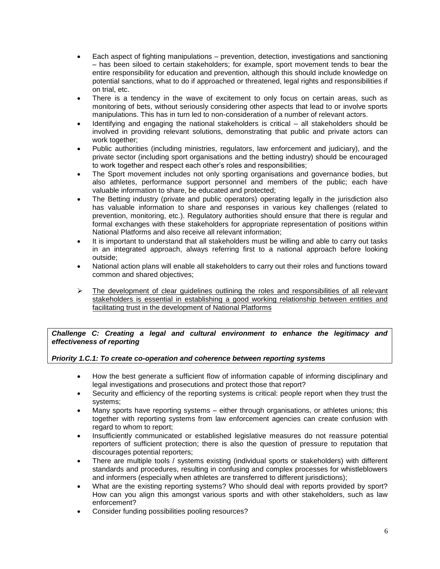- Each aspect of fighting manipulations prevention, detection, investigations and sanctioning – has been siloed to certain stakeholders; for example, sport movement tends to bear the entire responsibility for education and prevention, although this should include knowledge on potential sanctions, what to do if approached or threatened, legal rights and responsibilities if on trial, etc.
- There is a tendency in the wave of excitement to only focus on certain areas, such as monitoring of bets, without seriously considering other aspects that lead to or involve sports manipulations. This has in turn led to non-consideration of a number of relevant actors.
- Identifying and engaging the national stakeholders is critical all stakeholders should be involved in providing relevant solutions, demonstrating that public and private actors can work together;
- Public authorities (including ministries, regulators, law enforcement and judiciary), and the private sector (including sport organisations and the betting industry) should be encouraged to work together and respect each other's roles and responsibilities;
- The Sport movement includes not only sporting organisations and governance bodies, but also athletes, performance support personnel and members of the public; each have valuable information to share, be educated and protected;
- The Betting industry (private and public operators) operating legally in the jurisdiction also has valuable information to share and responses in various key challenges (related to prevention, monitoring, etc.). Regulatory authorities should ensure that there is regular and formal exchanges with these stakeholders for appropriate representation of positions within National Platforms and also receive all relevant information;
- It is important to understand that all stakeholders must be willing and able to carry out tasks in an integrated approach, always referring first to a national approach before looking outside;
- National action plans will enable all stakeholders to carry out their roles and functions toward common and shared objectives;
- $\triangleright$  The development of clear guidelines outlining the roles and responsibilities of all relevant stakeholders is essential in establishing a good working relationship between entities and facilitating trust in the development of National Platforms

*Challenge C: Creating a legal and cultural environment to enhance the legitimacy and effectiveness of reporting*

## *Priority 1.C.1: To create co-operation and coherence between reporting systems*

- How the best generate a sufficient flow of information capable of informing disciplinary and legal investigations and prosecutions and protect those that report?
- Security and efficiency of the reporting systems is critical: people report when they trust the systems;
- Many sports have reporting systems either through organisations, or athletes unions; this together with reporting systems from law enforcement agencies can create confusion with regard to whom to report;
- Insufficiently communicated or established legislative measures do not reassure potential reporters of sufficient protection; there is also the question of pressure to reputation that discourages potential reporters;
- There are multiple tools / systems existing (individual sports or stakeholders) with different standards and procedures, resulting in confusing and complex processes for whistleblowers and informers (especially when athletes are transferred to different jurisdictions);
- What are the existing reporting systems? Who should deal with reports provided by sport? How can you align this amongst various sports and with other stakeholders, such as law enforcement?
- Consider funding possibilities pooling resources?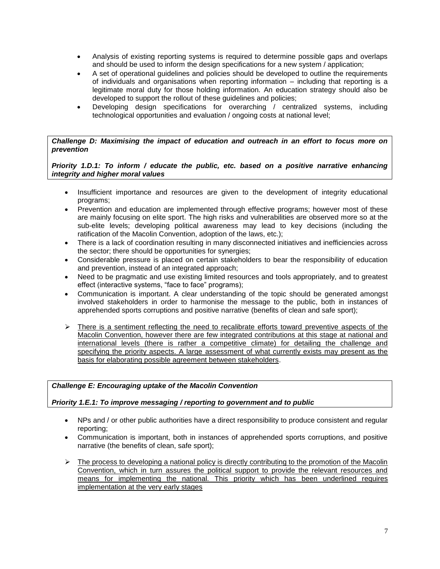- Analysis of existing reporting systems is required to determine possible gaps and overlaps and should be used to inform the design specifications for a new system / application;
- A set of operational guidelines and policies should be developed to outline the requirements of individuals and organisations when reporting information – including that reporting is a legitimate moral duty for those holding information. An education strategy should also be developed to support the rollout of these guidelines and policies;
- Developing design specifications for overarching / centralized systems, including technological opportunities and evaluation / ongoing costs at national level;

#### *Challenge D: Maximising the impact of education and outreach in an effort to focus more on prevention*

*Priority 1.D.1: To inform / educate the public, etc. based on a positive narrative enhancing integrity and higher moral values*

- Insufficient importance and resources are given to the development of integrity educational programs;
- Prevention and education are implemented through effective programs; however most of these are mainly focusing on elite sport. The high risks and vulnerabilities are observed more so at the sub-elite levels; developing political awareness may lead to key decisions (including the ratification of the Macolin Convention, adoption of the laws, etc.);
- There is a lack of coordination resulting in many disconnected initiatives and inefficiencies across the sector; there should be opportunities for synergies;
- Considerable pressure is placed on certain stakeholders to bear the responsibility of education and prevention, instead of an integrated approach;
- Need to be pragmatic and use existing limited resources and tools appropriately, and to greatest effect (interactive systems, "face to face" programs);
- Communication is important. A clear understanding of the topic should be generated amongst involved stakeholders in order to harmonise the message to the public, both in instances of apprehended sports corruptions and positive narrative (benefits of clean and safe sport);
- $\triangleright$  There is a sentiment reflecting the need to recalibrate efforts toward preventive aspects of the Macolin Convention, however there are few integrated contributions at this stage at national and international levels (there is rather a competitive climate) for detailing the challenge and specifying the priority aspects. A large assessment of what currently exists may present as the basis for elaborating possible agreement between stakeholders.

## *Challenge E: Encouraging uptake of the Macolin Convention*

#### *Priority 1.E.1: To improve messaging / reporting to government and to public*

- NPs and / or other public authorities have a direct responsibility to produce consistent and regular reporting;
- Communication is important, both in instances of apprehended sports corruptions, and positive narrative (the benefits of clean, safe sport);
- $\triangleright$  The process to developing a national policy is directly contributing to the promotion of the Macolin Convention, which in turn assures the political support to provide the relevant resources and means for implementing the national. This priority which has been underlined requires implementation at the very early stages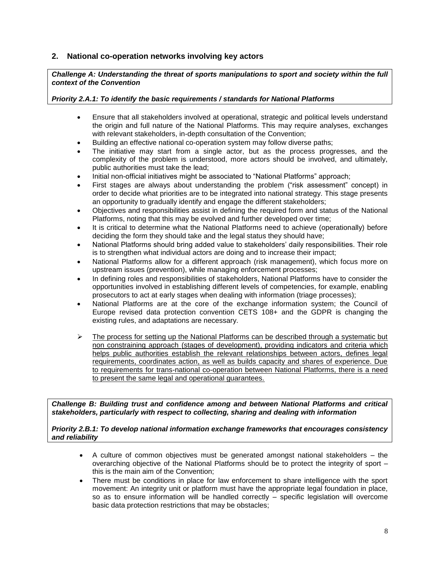# **2. National co-operation networks involving key actors**

*Challenge A: Understanding the threat of sports manipulations to sport and society within the full context of the Convention*

#### *Priority 2.A.1: To identify the basic requirements / standards for National Platforms*

- Ensure that all stakeholders involved at operational, strategic and political levels understand the origin and full nature of the National Platforms. This may require analyses, exchanges with relevant stakeholders, in-depth consultation of the Convention;
- Building an effective national co-operation system may follow diverse paths;
- The initiative may start from a single actor, but as the process progresses, and the complexity of the problem is understood, more actors should be involved, and ultimately, public authorities must take the lead;
- Initial non-official initiatives might be associated to "National Platforms" approach;
- First stages are always about understanding the problem ("risk assessment" concept) in order to decide what priorities are to be integrated into national strategy. This stage presents an opportunity to gradually identify and engage the different stakeholders;
- Objectives and responsibilities assist in defining the required form and status of the National Platforms, noting that this may be evolved and further developed over time;
- It is critical to determine what the National Platforms need to achieve (operationally) before deciding the form they should take and the legal status they should have;
- National Platforms should bring added value to stakeholders' daily responsibilities. Their role is to strengthen what individual actors are doing and to increase their impact;
- National Platforms allow for a different approach (risk management), which focus more on upstream issues (prevention), while managing enforcement processes;
- In defining roles and responsibilities of stakeholders, National Platforms have to consider the opportunities involved in establishing different levels of competencies, for example, enabling prosecutors to act at early stages when dealing with information (triage processes);
- National Platforms are at the core of the exchange information system; the Council of Europe revised data protection convention CETS 108+ and the GDPR is changing the existing rules, and adaptations are necessary.
- $\triangleright$  The process for setting up the National Platforms can be described through a systematic but non constraining approach (stages of development), providing indicators and criteria which helps public authorities establish the relevant relationships between actors, defines legal requirements, coordinates action, as well as builds capacity and shares of experience. Due to requirements for trans-national co-operation between National Platforms, there is a need to present the same legal and operational guarantees.

*Challenge B: Building trust and confidence among and between National Platforms and critical stakeholders, particularly with respect to collecting, sharing and dealing with information*

#### *Priority 2.B.1: To develop national information exchange frameworks that encourages consistency and reliability*

- A culture of common objectives must be generated amongst national stakeholders the overarching objective of the National Platforms should be to protect the integrity of sport – this is the main aim of the Convention;
- There must be conditions in place for law enforcement to share intelligence with the sport movement: An integrity unit or platform must have the appropriate legal foundation in place, so as to ensure information will be handled correctly – specific legislation will overcome basic data protection restrictions that may be obstacles;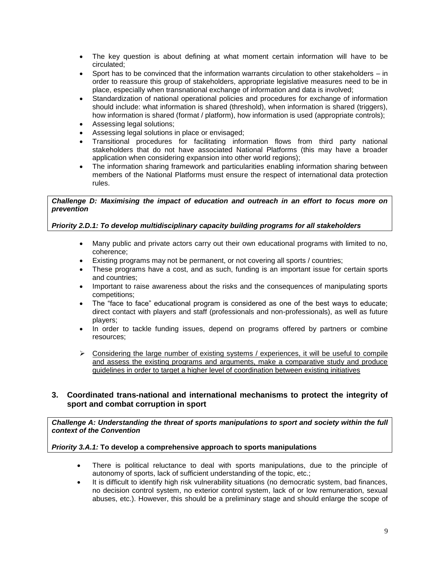- The key question is about defining at what moment certain information will have to be circulated;
- Sport has to be convinced that the information warrants circulation to other stakeholders in order to reassure this group of stakeholders, appropriate legislative measures need to be in place, especially when transnational exchange of information and data is involved;
- Standardization of national operational policies and procedures for exchange of information should include: what information is shared (threshold), when information is shared (triggers), how information is shared (format / platform), how information is used (appropriate controls);
- Assessing legal solutions;
- Assessing legal solutions in place or envisaged;
- Transitional procedures for facilitating information flows from third party national stakeholders that do not have associated National Platforms (this may have a broader application when considering expansion into other world regions);
- The information sharing framework and particularities enabling information sharing between members of the National Platforms must ensure the respect of international data protection rules.

## *Challenge D: Maximising the impact of education and outreach in an effort to focus more on prevention*

# *Priority 2.D.1: To develop multidisciplinary capacity building programs for all stakeholders*

- Many public and private actors carry out their own educational programs with limited to no, coherence;
- Existing programs may not be permanent, or not covering all sports / countries;
- These programs have a cost, and as such, funding is an important issue for certain sports and countries;
- Important to raise awareness about the risks and the consequences of manipulating sports competitions;
- The "face to face" educational program is considered as one of the best ways to educate; direct contact with players and staff (professionals and non-professionals), as well as future players;
- In order to tackle funding issues, depend on programs offered by partners or combine resources;
- $\triangleright$  Considering the large number of existing systems / experiences, it will be useful to compile and assess the existing programs and arguments, make a comparative study and produce guidelines in order to target a higher level of coordination between existing initiatives

## **3. Coordinated trans-national and international mechanisms to protect the integrity of sport and combat corruption in sport**

*Challenge A: Understanding the threat of sports manipulations to sport and society within the full context of the Convention*

## *Priority 3.A.1:* **To develop a comprehensive approach to sports manipulations**

- There is political reluctance to deal with sports manipulations, due to the principle of autonomy of sports, lack of sufficient understanding of the topic, etc.;
- It is difficult to identify high risk vulnerability situations (no democratic system, bad finances, no decision control system, no exterior control system, lack of or low remuneration, sexual abuses, etc.). However, this should be a preliminary stage and should enlarge the scope of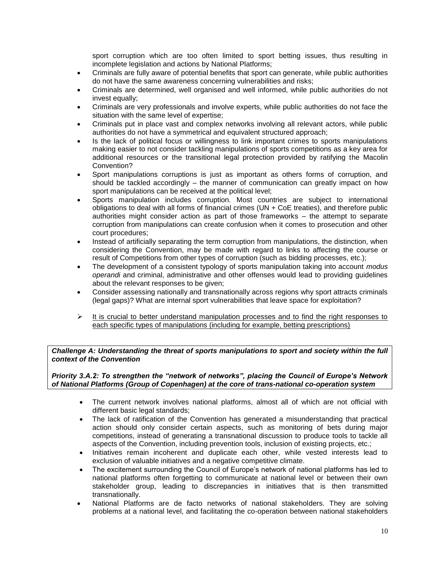sport corruption which are too often limited to sport betting issues, thus resulting in incomplete legislation and actions by National Platforms;

- Criminals are fully aware of potential benefits that sport can generate, while public authorities do not have the same awareness concerning vulnerabilities and risks;
- Criminals are determined, well organised and well informed, while public authorities do not invest equally;
- Criminals are very professionals and involve experts, while public authorities do not face the situation with the same level of expertise;
- Criminals put in place vast and complex networks involving all relevant actors, while public authorities do not have a symmetrical and equivalent structured approach;
- Is the lack of political focus or willingness to link important crimes to sports manipulations making easier to not consider tackling manipulations of sports competitions as a key area for additional resources or the transitional legal protection provided by ratifying the Macolin Convention?
- Sport manipulations corruptions is just as important as others forms of corruption, and should be tackled accordingly – the manner of communication can greatly impact on how sport manipulations can be received at the political level;
- Sports manipulation includes corruption. Most countries are subject to international obligations to deal with all forms of financial crimes (UN + CoE treaties), and therefore public authorities might consider action as part of those frameworks – the attempt to separate corruption from manipulations can create confusion when it comes to prosecution and other court procedures;
- Instead of artificially separating the term corruption from manipulations, the distinction, when considering the Convention, may be made with regard to links to affecting the course or result of Competitions from other types of corruption (such as bidding processes, etc.);
- The development of a consistent typology of sports manipulation taking into account *modus operandi* and criminal, administrative and other offenses would lead to providing guidelines about the relevant responses to be given;
- Consider assessing nationally and transnationally across regions why sport attracts criminals (legal gaps)? What are internal sport vulnerabilities that leave space for exploitation?
- $\triangleright$  It is crucial to better understand manipulation processes and to find the right responses to each specific types of manipulations (including for example, betting prescriptions)

*Challenge A: Understanding the threat of sports manipulations to sport and society within the full context of the Convention*

*Priority 3.A.2: To strengthen the "network of networks", placing the Council of Europe's Network of National Platforms (Group of Copenhagen) at the core of trans-national co-operation system*

- The current network involves national platforms, almost all of which are not official with different basic legal standards;
- The lack of ratification of the Convention has generated a misunderstanding that practical action should only consider certain aspects, such as monitoring of bets during major competitions, instead of generating a transnational discussion to produce tools to tackle all aspects of the Convention, including prevention tools, inclusion of existing projects, etc.;
- Initiatives remain incoherent and duplicate each other, while vested interests lead to exclusion of valuable initiatives and a negative competitive climate.
- The excitement surrounding the Council of Europe's network of national platforms has led to national platforms often forgetting to communicate at national level or between their own stakeholder group, leading to discrepancies in initiatives that is then transmitted transnationally.
- National Platforms are de facto networks of national stakeholders. They are solving problems at a national level, and facilitating the co-operation between national stakeholders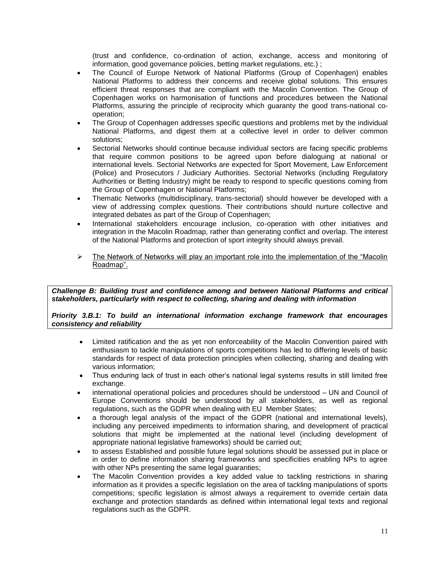(trust and confidence, co-ordination of action, exchange, access and monitoring of information, good governance policies, betting market regulations, etc.) ;

- The Council of Europe Network of National Platforms (Group of Copenhagen) enables National Platforms to address their concerns and receive global solutions. This ensures efficient threat responses that are compliant with the Macolin Convention. The Group of Copenhagen works on harmonisation of functions and procedures between the National Platforms, assuring the principle of reciprocity which guaranty the good trans-national cooperation;
- The Group of Copenhagen addresses specific questions and problems met by the individual National Platforms, and digest them at a collective level in order to deliver common solutions;
- Sectorial Networks should continue because individual sectors are facing specific problems that require common positions to be agreed upon before dialoguing at national or international levels. Sectorial Networks are expected for Sport Movement, Law Enforcement (Police) and Prosecutors / Judiciary Authorities. Sectorial Networks (including Regulatory Authorities or Betting Industry) might be ready to respond to specific questions coming from the Group of Copenhagen or National Platforms;
- Thematic Networks (multidisciplinary, trans-sectorial) should however be developed with a view of addressing complex questions. Their contributions should nurture collective and integrated debates as part of the Group of Copenhagen;
- International stakeholders encourage inclusion, co-operation with other initiatives and integration in the Macolin Roadmap, rather than generating conflict and overlap. The interest of the National Platforms and protection of sport integrity should always prevail.
- $\triangleright$  The Network of Networks will play an important role into the implementation of the "Macolin" Roadmap".

*Challenge B: Building trust and confidence among and between National Platforms and critical stakeholders, particularly with respect to collecting, sharing and dealing with information*

*Priority 3.B.1: To build an international information exchange framework that encourages consistency and reliability*

- Limited ratification and the as yet non enforceability of the Macolin Convention paired with enthusiasm to tackle manipulations of sports competitions has led to differing levels of basic standards for respect of data protection principles when collecting, sharing and dealing with various information;
- Thus enduring lack of trust in each other's national legal systems results in still limited free exchange.
- international operational policies and procedures should be understood UN and Council of Europe Conventions should be understood by all stakeholders, as well as regional regulations, such as the GDPR when dealing with EU Member States;
- a thorough legal analysis of the impact of the GDPR (national and international levels), including any perceived impediments to information sharing, and development of practical solutions that might be implemented at the national level (including development of appropriate national legislative frameworks) should be carried out;
- to assess Established and possible future legal solutions should be assessed put in place or in order to define information sharing frameworks and specificities enabling NPs to agree with other NPs presenting the same legal guaranties;
- The Macolin Convention provides a key added value to tackling restrictions in sharing information as it provides a specific legislation on the area of tackling manipulations of sports competitions; specific legislation is almost always a requirement to override certain data exchange and protection standards as defined within international legal texts and regional regulations such as the GDPR.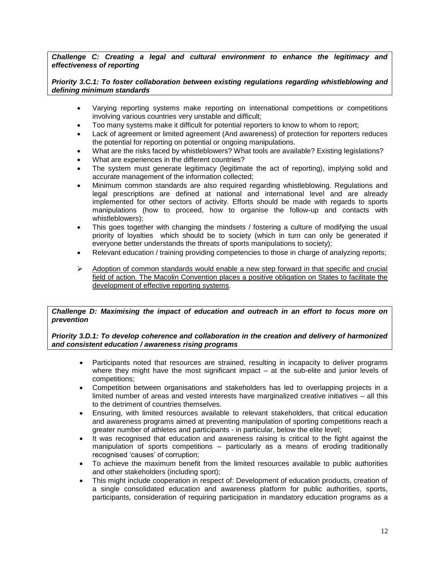*Challenge C: Creating a legal and cultural environment to enhance the legitimacy and effectiveness of reporting*

*Priority 3.C.1: To foster collaboration between existing regulations regarding whistleblowing and defining minimum standards*

- Varying reporting systems make reporting on international competitions or competitions involving various countries very unstable and difficult;
- Too many systems make it difficult for potential reporters to know to whom to report;
- Lack of agreement or limited agreement (And awareness) of protection for reporters reduces the potential for reporting on potential or ongoing manipulations.
- What are the risks faced by whistleblowers? What tools are available? Existing legislations?
- What are experiences in the different countries?
- The system must generate legitimacy (legitimate the act of reporting), implying solid and accurate management of the information collected;
- Minimum common standards are also required regarding whistleblowing. Regulations and legal prescriptions are defined at national and international level and are already implemented for other sectors of activity. Efforts should be made with regards to sports manipulations (how to proceed, how to organise the follow-up and contacts with whistleblowers);
- This goes together with changing the mindsets / fostering a culture of modifying the usual priority of loyalties which should be to society (which in turn can only be generated if everyone better understands the threats of sports manipulations to society);
- Relevant education / training providing competencies to those in charge of analyzing reports;
- $\triangleright$  Adoption of common standards would enable a new step forward in that specific and crucial field of action. The Macolin Convention places a positive obligation on States to facilitate the development of effective reporting systems.

*Challenge D: Maximising the impact of education and outreach in an effort to focus more on prevention*

*Priority 3.D.1: To develop coherence and collaboration in the creation and delivery of harmonized and consistent education / awareness rising programs*

- Participants noted that resources are strained, resulting in incapacity to deliver programs where they might have the most significant impact  $-$  at the sub-elite and junior levels of competitions;
- Competition between organisations and stakeholders has led to overlapping projects in a limited number of areas and vested interests have marginalized creative initiatives – all this to the detriment of countries themselves.
- Ensuring, with limited resources available to relevant stakeholders, that critical education and awareness programs aimed at preventing manipulation of sporting competitions reach a greater number of athletes and participants - in particular, below the elite level;
- It was recognised that education and awareness raising is critical to the fight against the manipulation of sports competitions – particularly as a means of eroding traditionally recognised 'causes' of corruption;
- To achieve the maximum benefit from the limited resources available to public authorities and other stakeholders (including sport);
- This might include cooperation in respect of: Development of education products, creation of a single consolidated education and awareness platform for public authorities, sports, participants, consideration of requiring participation in mandatory education programs as a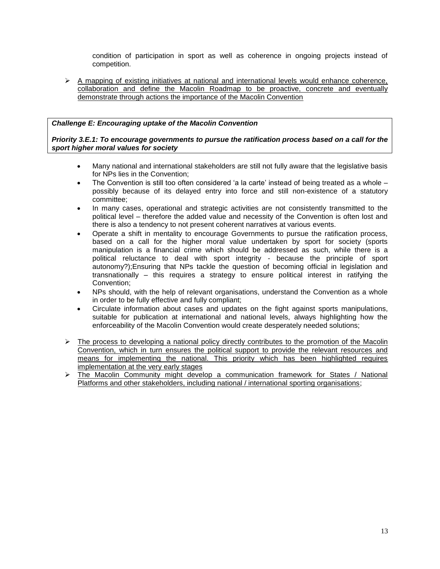condition of participation in sport as well as coherence in ongoing projects instead of competition.

 $\triangleright$  A mapping of existing initiatives at national and international levels would enhance coherence, collaboration and define the Macolin Roadmap to be proactive, concrete and eventually demonstrate through actions the importance of the Macolin Convention

# *Challenge E: Encouraging uptake of the Macolin Convention*

*Priority 3.E.1: To encourage governments to pursue the ratification process based on a call for the sport higher moral values for society*

- Many national and international stakeholders are still not fully aware that the legislative basis for NPs lies in the Convention;
- The Convention is still too often considered 'a la carte' instead of being treated as a whole possibly because of its delayed entry into force and still non-existence of a statutory committee;
- In many cases, operational and strategic activities are not consistently transmitted to the political level – therefore the added value and necessity of the Convention is often lost and there is also a tendency to not present coherent narratives at various events.
- Operate a shift in mentality to encourage Governments to pursue the ratification process, based on a call for the higher moral value undertaken by sport for society (sports manipulation is a financial crime which should be addressed as such, while there is a political reluctance to deal with sport integrity - because the principle of sport autonomy?);Ensuring that NPs tackle the question of becoming official in legislation and transnationally – this requires a strategy to ensure political interest in ratifying the Convention;
- NPs should, with the help of relevant organisations, understand the Convention as a whole in order to be fully effective and fully compliant;
- Circulate information about cases and updates on the fight against sports manipulations, suitable for publication at international and national levels, always highlighting how the enforceability of the Macolin Convention would create desperately needed solutions;
- $\triangleright$  The process to developing a national policy directly contributes to the promotion of the Macolin Convention, which in turn ensures the political support to provide the relevant resources and means for implementing the national. This priority which has been highlighted requires implementation at the very early stages
- $\triangleright$  The Macolin Community might develop a communication framework for States / National Platforms and other stakeholders, including national / international sporting organisations;